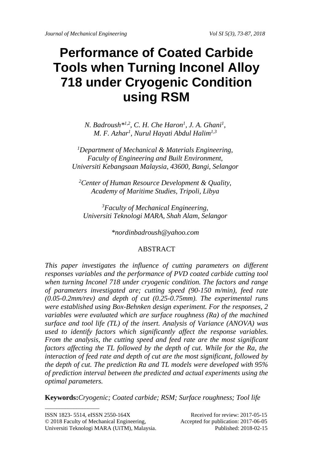# **Performance of Coated Carbide Tools when Turning Inconel Alloy 718 under Cryogenic Condition using RSM**

*N. Badroush*<sup>\*1,2</sup>, *C. H. Che Haron<sup>1</sup>, J. A. Ghani<sup>1</sup>, M. F. Azhar1 , Nurul Hayati Abdul Halim1,3*

*1 Department of Mechanical & Materials Engineering, Faculty of Engineering and Built Environment, Universiti Kebangsaan Malaysia, 43600, Bangi, Selangor*

*2 Center of Human Resource Development & Quality, Academy of Maritime Studies, Tripoli, Libya*

*3 Faculty of Mechanical Engineering, Universiti Teknologi MARA, Shah Alam, Selangor*

*\*nordinbadroush@yahoo.com*

## ABSTRACT

*This paper investigates the influence of cutting parameters on different responses variables and the performance of PVD coated carbide cutting tool when turning Inconel 718 under cryogenic condition. The factors and range of parameters investigated are; cutting speed (90-150 m/min), feed rate (0.05-0.2mm/rev) and depth of cut (0.25-0.75mm). The experimental runs were established using Box-Behnken design experiment. For the responses, 2 variables were evaluated which are surface roughness (Ra) of the machined surface and tool life (TL) of the insert. Analysis of Variance (ANOVA) was used to identify factors which significantly affect the response variables. From the analysis, the cutting speed and feed rate are the most significant factors affecting the TL followed by the depth of cut. While for the Ra, the interaction of feed rate and depth of cut are the most significant, followed by the depth of cut. The prediction Ra and TL models were developed with 95% of prediction interval between the predicted and actual experiments using the optimal parameters.*

**Keywords:***Cryogenic; Coated carbide; RSM; Surface roughness; Tool life*

\_\_\_\_\_\_\_\_\_\_\_\_\_\_\_\_\_\_\_

ISSN 1823- 5514, eISSN 2550-164X Received for review: 2017-05-15 © 2018 Faculty of Mechanical Engineering, Accepted for publication: 2017-06-05

Universiti Teknologi MARA (UiTM), Malaysia. Published: 2018-02-15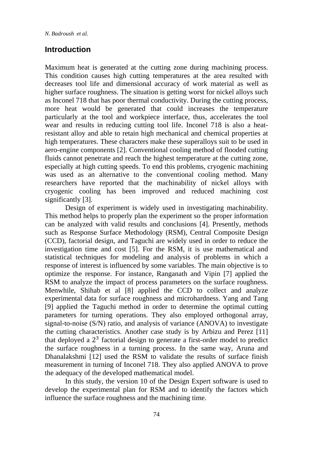*N. Badroush et al.*

## **Introduction**

Maximum heat is generated at the cutting zone during machining process. This condition causes high cutting temperatures at the area resulted with decreases tool life and dimensional accuracy of work material as well as higher surface roughness. The situation is getting worst for nickel alloys such as Inconel 718 that has poor thermal conductivity. During the cutting process, more heat would be generated that could increases the temperature particularly at the tool and workpiece interface, thus, accelerates the tool wear and results in reducing cutting tool life. Inconel 718 is also a heatresistant alloy and able to retain high mechanical and chemical properties at high temperatures. These characters make these superalloys suit to be used in aero-engine components [2]. Conventional cooling method of flooded cutting fluids cannot penetrate and reach the highest temperature at the cutting zone, especially at high cutting speeds. To end this problems, cryogenic machining was used as an alternative to the conventional cooling method. Many researchers have reported that the machinability of nickel alloys with cryogenic cooling has been improved and reduced machining cost significantly [3].

Design of experiment is widely used in investigating machinability. This method helps to properly plan the experiment so the proper information can be analyzed with valid results and conclusions [4]. Presently, methods such as Response Surface Methodology (RSM), Central Composite Design (CCD), factorial design, and Taguchi are widely used in order to reduce the investigation time and cost [5]. For the RSM, it is use mathematical and statistical techniques for modeling and analysis of problems in which a response of interest is influenced by some variables. The main objective is to optimize the response. For instance, Ranganath and Vipin [7] applied the RSM to analyze the impact of process parameters on the surface roughness. Menwhile, Shihab et al [8] applied the CCD to collect and analyze experimental data for surface roughness and microhardness. Yang and Tang [9] applied the Taguchi method in order to determine the optimal cutting parameters for turning operations. They also employed orthogonal array, signal-to-noise (S/N) ratio, and analysis of variance (ANOVA) to investigate the cutting characteristics. Another case study is by Arbizu and Perez [11] that deployed a  $2<sup>3</sup>$  factorial design to generate a first-order model to predict the surface roughness in a turning process. In the same way, Aruna and Dhanalakshmi [12] used the RSM to validate the results of surface finish measurement in turning of Inconel 718. They also applied ANOVA to prove the adequacy of the developed mathematical model.

In this study, the version 10 of the Design Expert software is used to develop the experimental plan for RSM and to identify the factors which influence the surface roughness and the machining time.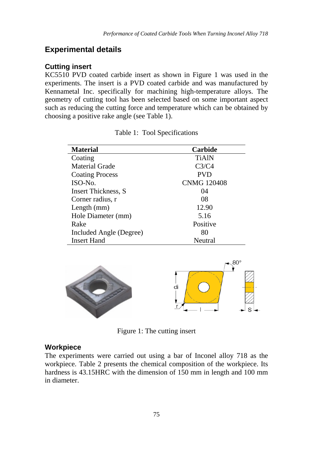## **Experimental details**

#### **Cutting insert**

KC5510 PVD coated carbide insert as shown in [Figure 1](#page-2-0) was used in the experiments. The insert is a PVD coated carbide and was manufactured by Kennametal Inc. specifically for machining high-temperature alloys. The geometry of cutting tool has been selected based on some important aspect such as reducing the cutting force and temperature which can be obtained by choosing a positive rake angle (see [Table 1\)](#page-2-1).

<span id="page-2-1"></span>

| <b>Material</b>            | Carbide            |
|----------------------------|--------------------|
| Coating                    | <b>TiAIN</b>       |
| Material Grade             | C3/C4              |
| <b>Coating Process</b>     | <b>PVD</b>         |
| ISO-No.                    | <b>CNMG 120408</b> |
| <b>Insert Thickness, S</b> | 04                 |
| Corner radius, r           | 08                 |
| Length $(mm)$              | 12.90              |
| Hole Diameter (mm)         | 5.16               |
| Rake                       | Positive           |
| Included Angle (Degree)    | 80                 |
| <b>Insert Hand</b>         | Neutral            |

Table 1: Tool Specifications

<span id="page-2-0"></span>

Figure 1: The cutting insert

#### **Workpiece**

<span id="page-2-2"></span>The experiments were carried out using a bar of Inconel alloy 718 as the workpiece. [Table 2](#page-2-2) presents the chemical composition of the workpiece. Its hardness is 43.15HRC with the dimension of 150 mm in length and 100 mm in diameter.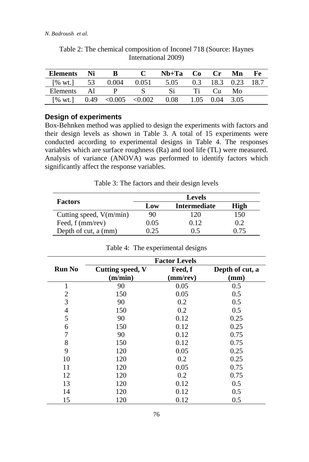| <b>Elements</b>              | Ni   |                         |       | $Nh+Ta$ | C <sub>0</sub> | Cr   | Mn        | Fe   |
|------------------------------|------|-------------------------|-------|---------|----------------|------|-----------|------|
| $[% \text{ wt.}]$            | -53  | 0.004                   | 0.051 | 5.05    | 0.3            |      | 18.3 0.23 | 18.7 |
| Elements                     | Al   |                         |       |         |                | Cu.  | Mo        |      |
| $\lceil\% \text{ wt.}\rceil$ | 0.49 | $\leq 0.005 \leq 0.002$ |       | 0.08    | 1.05           | 0.04 | 3.05      |      |

Table 2: The chemical composition of Inconel 718 (Source: Haynes International 2009)

#### **Design of experiments**

Box-Behnken method was applied to design the experiments with factors and their design levels as shown in [Table 3.](#page-3-0) A total of 15 experiments were conducted according to experimental designs in [Table 4.](#page-3-1) The responses variables which are surface roughness (Ra) and tool life (TL) were measured. Analysis of variance (ANOVA) was performed to identify factors which significantly affect the response variables.

Table 3: The factors and their design levels

<span id="page-3-0"></span>

|                           |      | <b>Levels</b> |      |
|---------------------------|------|---------------|------|
| <b>Factors</b>            | Low  | Intermediate  | High |
| Cutting speed, $V(m/min)$ | 90   | 120           | 150  |
| Feed, f (mm/rev)          | 0.05 | 0.12          | 0.2  |
| Depth of cut, a (mm)      | 9.25 | () 5          | በ 75 |

<span id="page-3-1"></span>

|               | <b>Factor Levels</b>               |                     |                         |  |  |  |  |
|---------------|------------------------------------|---------------------|-------------------------|--|--|--|--|
| <b>Run No</b> | <b>Cutting speed, V</b><br>(m/min) | Feed, f<br>(mm/rev) | Depth of cut, a<br>(mm) |  |  |  |  |
|               |                                    |                     |                         |  |  |  |  |
| 1             | 90                                 | 0.05                | 0.5                     |  |  |  |  |
| 2             | 150                                | 0.05                | 0.5                     |  |  |  |  |
| 3             | 90                                 | 0.2                 | 0.5                     |  |  |  |  |
| 4             | 150                                | 0.2                 | 0.5                     |  |  |  |  |
| 5             | 90                                 | 0.12                | 0.25                    |  |  |  |  |
| 6             | 150                                | 0.12                | 0.25                    |  |  |  |  |
| 7             | 90                                 | 0.12                | 0.75                    |  |  |  |  |
| 8             | 150                                | 0.12                | 0.75                    |  |  |  |  |
| 9             | 120                                | 0.05                | 0.25                    |  |  |  |  |
| 10            | 120                                | 0.2                 | 0.25                    |  |  |  |  |
| 11            | 120                                | 0.05                | 0.75                    |  |  |  |  |
| 12            | 120                                | 0.2                 | 0.75                    |  |  |  |  |
| 13            | 120                                | 0.12                | 0.5                     |  |  |  |  |
| 14            | 120                                | 0.12                | 0.5                     |  |  |  |  |
| 15            | 120                                | 0.12                | 0.5                     |  |  |  |  |

|  |  | Table 4: The experimental designs |  |
|--|--|-----------------------------------|--|
|--|--|-----------------------------------|--|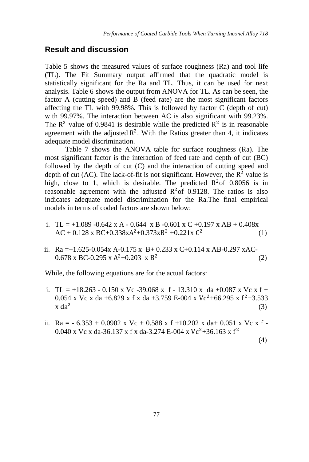# **Result and discussion**

[Table 5](#page-4-0) shows the measured values of surface roughness (Ra) and tool life (TL). The Fit Summary output affirmed that the quadratic model is statistically significant for the Ra and TL. Thus, it can be used for next analysis. [Table 6](#page-5-0) shows the output from ANOVA for TL. As can be seen, the factor A (cutting speed) and  $\overline{B}$  (feed rate) are the most significant factors affecting the TL with 99.98%. This is followed by factor C (depth of cut) with 99.97%. The interaction between AC is also significant with 99.23%. The  $\mathbb{R}^2$  value of 0.9841 is desirable while the predicted  $\mathbb{R}^2$  is in reasonable agreement with the adjusted  $\mathbb{R}^2$ . With the Ratios greater than 4, it indicates adequate model discrimination.

Table 7 shows the ANOVA table for surface roughness (Ra). The most significant factor is the interaction of feed rate and depth of cut (BC) followed by the depth of cut (C) and the interaction of cutting speed and depth of cut (AC). The lack-of-fit is not significant. However, the  $R^2$  value is high, close to 1, which is desirable. The predicted  $R^2$  of 0.8056 is in reasonable agreement with the adjusted  $R^2$  of 0.9128. The ratios is also indicates adequate model discrimination for the Ra.The final empirical models in terms of coded factors are shown below:

- i. TL =  $+1.089 -0.642$  x A 0.644 x B -0.601 x C +0.197 x AB + 0.408x  $AC + 0.128 \text{ x } BC + 0.338 \text{ x A}^2 + 0.373 \text{ x B}^2 + 0.221 \text{ x } C^2$  (1)
- ii. Ra  $=+1.625-0.054x$  A-0.175 x B+ 0.233 x C+0.114 x AB-0.297 xAC- $0.678 \times BC - 0.295 \times A^2 + 0.203 \times B^2$  (2)

While, the following equations are for the actual factors:

- i. TL =  $+18.263 0.150$  x Vc -39.068 x f 13.310 x da +0.087 x Vc x f + 0.054 x Vc x da +6.829 x f x da +3.759 E-004 x Vc<sup>2</sup>+66.295 x f<sup>2</sup>+3.533 x da<sup>2</sup> (3)  $x \, da^2$  (3)
- <span id="page-4-0"></span>ii. Ra =  $-6.353 + 0.0902$  x Vc + 0.588 x f +10.202 x da+ 0.051 x Vc x f -0.040 x Vc x da-36.137 x f x da-3.274 E-004 x Vc<sup>2</sup>+36.163 x f<sup>2</sup>

(4)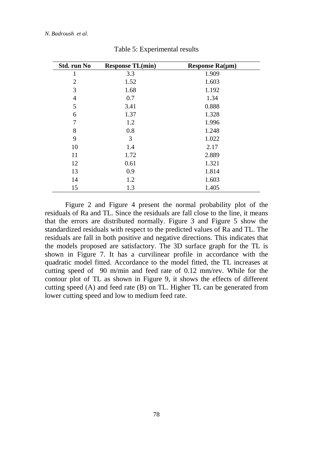| Std. run No    | <b>Response TL(min)</b> | Response $Ra(\mu m)$ |
|----------------|-------------------------|----------------------|
|                | 3.3                     | 1.909                |
| $\overline{c}$ | 1.52                    | 1.603                |
| 3              | 1.68                    | 1.192                |
| $\overline{4}$ | 0.7                     | 1.34                 |
| 5              | 3.41                    | 0.888                |
| 6              | 1.37                    | 1.328                |
| 7              | 1.2                     | 1.996                |
| 8              | 0.8                     | 1.248                |
| 9              | 3                       | 1.022                |
| 10             | 1.4                     | 2.17                 |
| 11             | 1.72                    | 2.889                |
| 12             | 0.61                    | 1.321                |
| 13             | 0.9                     | 1.814                |
| 14             | 1.2                     | 1.603                |
| 15             | 1.3                     | 1.405                |

Table 5: Experimental results

<span id="page-5-0"></span>Figure 2 and Figure 4 present the normal probability plot of the residuals of Ra and TL. Since the residuals are fall close to the line, it means that the errors are distributed normally. Figure 3 and Figure 5 show the standardized residuals with respect to the predicted values of Ra and TL. The residuals are fall in both positive and negative directions. This indicates that the models proposed are satisfactory. The 3D surface graph for the TL is shown in Figure 7. It has a curvilinear profile in accordance with the quadratic model fitted. Accordance to the model fitted, the TL increases at cutting speed of 90 m/min and feed rate of 0.12 mm/rev. While for the contour plot of TL as shown in Figure 9, it shows the effects of different cutting speed (A) and feed rate (B) on TL. Higher TL can be generated from lower cutting speed and low to medium feed rate.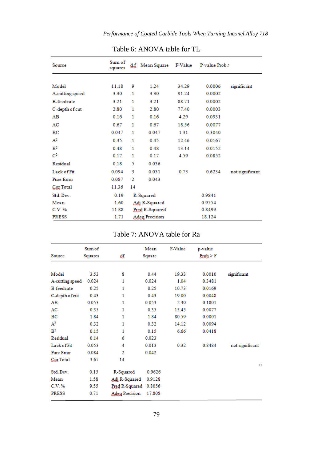| Source            | Sum of<br>squares |                | d.f Mean Square       | F-Value | P-value Prob.> |                 |
|-------------------|-------------------|----------------|-----------------------|---------|----------------|-----------------|
|                   |                   |                |                       |         |                |                 |
| Model             | 11.18             | 9              | 1.24                  | 34.29   | 0.0006         | significant     |
| A-cutting speed   | 3.30              | 1              | 3.30                  | 91.24   | 0.0002         |                 |
| <b>B-feedrate</b> | 3.21              | 1              | 3.21                  | 88.71   | 0.0002         |                 |
| C-depth of cut    | 2.80              | 1              | 2.80                  | 77.40   | 0.0003         |                 |
| AB                | 0.16              | 1              | 0.16                  | 4.29    | 0.0931         |                 |
| AC                | 0.67              | 1              | 0.67                  | 18.56   | 0.0077         |                 |
| BC                | 0.047             | 1              | 0.047                 | 1.31    | 0.3040         |                 |
| A <sup>2</sup>    | 0.45              | 1              | 0.45                  | 12.46   | 0.0167         |                 |
| B <sup>2</sup>    | 0.48              | 1              | 0.48                  | 13.14   | 0.0152         |                 |
| $\bf C^2$         | 0.17              | 1              | 0.17                  | 4.59    | 0.0852         |                 |
| Residual          | 0.18              | 5              | 0.036                 |         |                |                 |
| Lack of Fit       | 0.094             | 3              | 0.031                 | 0.73    | 0.6234         | not significant |
| <b>Pure Error</b> | 0.087             | $\overline{2}$ | 0.043                 |         |                |                 |
| Cor Total         | 11.36             | 14             |                       |         |                |                 |
| Std. Dev.         | 0.19              |                | R-Squared             |         | 0.9841         |                 |
| Mean              | 1.60              |                | Adj R-Squared         |         | 0.9554         |                 |
| C.V. %            | 11.88             |                | Pred R-Squared        |         | 0.8499         |                 |
| <b>PRESS</b>      | 1.71              |                | <b>Adeg Precision</b> |         | 18.124         |                 |

# Table 6: ANOVA table for TL

# Table 7: ANOVA table for Ra

| Source            | Sum of<br>Squares | ₫£                    | Mean<br>Square | F-Value | p-value<br>Prob > F |                 |
|-------------------|-------------------|-----------------------|----------------|---------|---------------------|-----------------|
|                   |                   |                       |                |         |                     |                 |
| Model             | 3.53              | 8                     | 0.44           | 19.33   | 0.0010              | significant     |
| A-cutting speed   | 0.024             | 1                     | 0.024          | 1.04    | 0.3481              |                 |
| <b>B-feedrate</b> | 0.25              | 1                     | 0.25           | 10.73   | 0.0169              |                 |
| C-depth of cut    | 0.43              | 1                     | 0.43           | 19.00   | 0.0048              |                 |
| AB                | 0.053             | 1                     | 0.053          | 2.30    | 0.1801              |                 |
| AC                | 0.35              | 1                     | 0.35           | 15.45   | 0.0077              |                 |
| BC                | 1.84              | 1                     | 1.84           | 80.59   | 0.0001              |                 |
| A <sup>2</sup>    | 0.32              | 1                     | 0.32           | 14.12   | 0.0094              |                 |
| B <sup>2</sup>    | 0.15              | 1                     | 0.15           | 6.66    | 0.0418              |                 |
| Residual          | 0.14              | 6                     | 0.023          |         |                     |                 |
| Lack of Fit       | 0.053             | 4                     | 0.013          | 0.32    | 0.8484              | not significant |
| <b>Pure Error</b> | 0.084             | $\overline{2}$        | 0.042          |         |                     |                 |
| Cor Total         | 3.67              | 14                    |                |         |                     |                 |
| Std. Dev.         | 0.15              | R-Squared             | 0.9626         |         |                     | $\Box$          |
| Mean              | 1.58              | Adj R-Squared         | 0.9128         |         |                     |                 |
| C.V. %            | 9.55              | Pred R-Squared        | 0.8056         |         |                     |                 |
| <b>PRESS</b>      | 0.71              | <b>Adeg Precision</b> | 17.808         |         |                     |                 |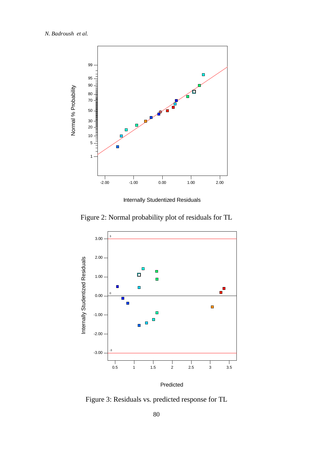

Internally Studentized Residuals

Figure 2: Normal probability plot of residuals for TL



Figure 3: Residuals vs. predicted response for TL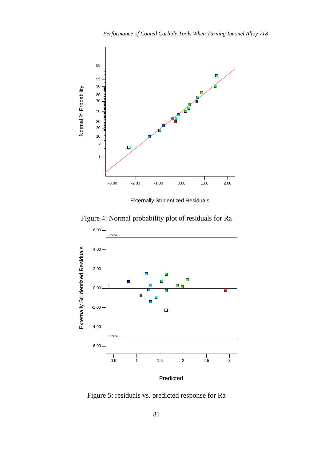

Externally Studentized Residuals



Figure 4: Normal probability plot of residuals for Ra

Figure 5: residuals vs. predicted response for Ra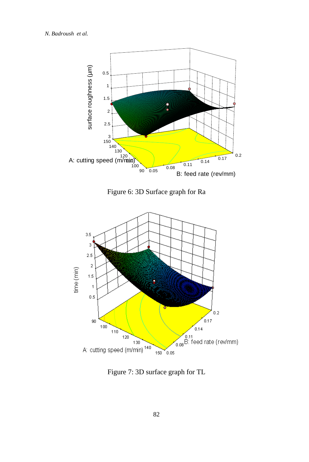*N. Badroush et al.*



Figure 6: 3D Surface graph for Ra



Figure 7: 3D surface graph for TL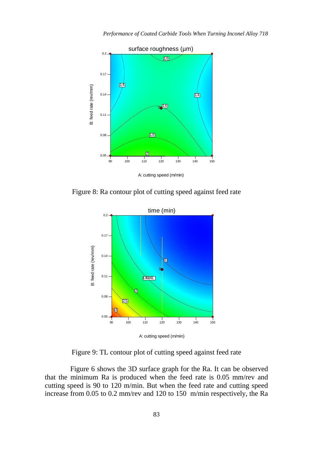

<span id="page-10-0"></span>Figure 8: Ra contour plot of cutting speed against feed rate



Figure 9: TL contour plot of cutting speed against feed rate

Figure 6 shows the 3D surface graph for the Ra. It can be observed that the minimum Ra is produced when the feed rate is 0.05 mm/rev and cutting speed is 90 to 120 m/min. But when the feed rate and cutting speed increase from 0.05 to 0.2 mm/rev and 120 to 150 m/min respectively, the Ra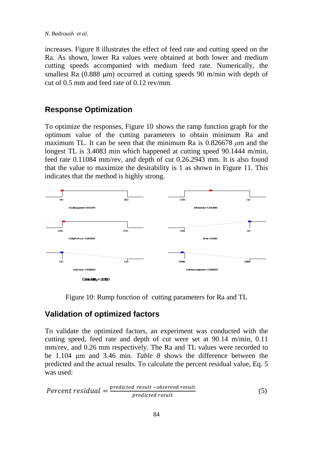increases. [Figure 8](#page-10-0) illustrates the effect of feed rate and cutting speed on the Ra. As shown, lower Ra values were obtained at both lower and medium cutting speeds accompanied with medium feed rate. Numerically, the smallest Ra (0.888 µm) occurred at cutting speeds 90 m/min with depth of cut of 0.5 mm and feed rate of 0.12 rev/mm.

# **Response Optimization**

To optimize the responses, [Figure 10](#page-11-0) shows the ramp function graph for the optimum value of the cutting parameters to obtain minimum Ra and maximum TL. It can be seen that the minimum Ra is 0.826678 *μ*m and the longest TL is 3.4083 min which happened at cutting speed 90.1444 m/min, feed rate 0.11084 mm/rev, and depth of cut 0.26.2943 mm. It is also found that the value to maximize the desirability is 1 as shown in [Figure 11.](#page-12-0) This indicates that the method is highly strong.



Figure 10: Rump function of cutting parameters for Ra and TL

## <span id="page-11-0"></span>**Validation of optimized factors**

To validate the optimized factors, an experiment was conducted with the cutting speed, feed rate and depth of cut were set at 90.14 m/min, 0.11 mm/rev, and 0.26 mm respectively. The Ra and TL values were recorded to be 1.104 μm and 3.46 min. *[Table 8](#page-12-1)* shows the difference between the predicted and the actual results. To calculate the percent residual value, Eq. 5 was used:

$$
Percent residual = \frac{predicted \ result - observed \ result}{predicted \ result}
$$
 (5)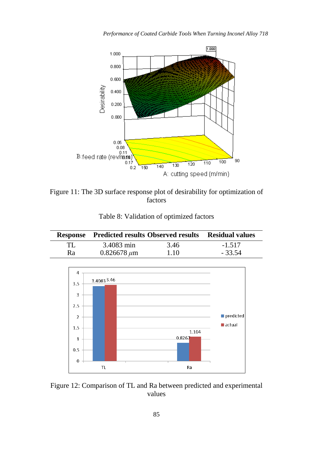

<span id="page-12-0"></span>Figure 11: The 3D surface response plot of desirability for optimization of factors

<span id="page-12-1"></span>

|    | <b>Response</b> Predicted results Observed results | Residual values |          |
|----|----------------------------------------------------|-----------------|----------|
| TL | 3.4083 min                                         | 3.46            | $-1.517$ |
| Ra | $0.826678 \mu m$                                   | 1.10            | $-33.54$ |

Table 8: Validation of optimized factors



Figure 12: Comparison of TL and Ra between predicted and experimental values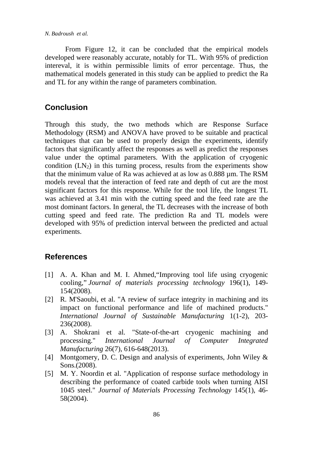*N. Badroush et al.*

From Figure 12, it can be concluded that the empirical models developed were reasonably accurate, notably for TL. With 95% of prediction intereval, it is within permissible limits of error percentage. Thus, the mathematical models generated in this study can be applied to predict the Ra and TL for any within the range of parameters combination.

# **Conclusion**

Through this study, the two methods which are Response Surface Methodology (RSM) and ANOVA have proved to be suitable and practical techniques that can be used to properly design the experiments, identify factors that significantly affect the responses as well as predict the responses value under the optimal parameters. With the application of cryogenic condition  $(LN_2)$  in this turning process, results from the experiments show that the minimum value of Ra was achieved at as low as 0.888 µm. The RSM models reveal that the interaction of feed rate and depth of cut are the most significant factors for this response. While for the tool life, the longest TL was achieved at 3.41 min with the cutting speed and the feed rate are the most dominant factors. In general, the TL decreases with the increase of both cutting speed and feed rate. The prediction Ra and TL models were developed with 95% of prediction interval between the predicted and actual experiments.

## **References**

- [1] A. A. Khan and M. I. Ahmed, "Improving tool life using cryogenic cooling," *Journal of materials processing technology* 196(1), 149- 154(2008).
- [2] R. M'Saoubi, et al. "A review of surface integrity in machining and its impact on functional performance and life of machined products." *International Journal of Sustainable Manufacturing* 1(1-2), 203- 236(2008).
- [3] A. Shokrani et al. "State-of-the-art cryogenic machining and processing." *International Journal of Computer Integrated Manufacturing* 26(7), 616-648(2013).
- [4] Montgomery, D. C. Design and analysis of experiments, John Wiley & Sons.(2008).
- [5] M. Y. Noordin et al. "Application of response surface methodology in describing the performance of coated carbide tools when turning AISI 1045 steel." *Journal of Materials Processing Technology* 145(1), 46- 58(2004).